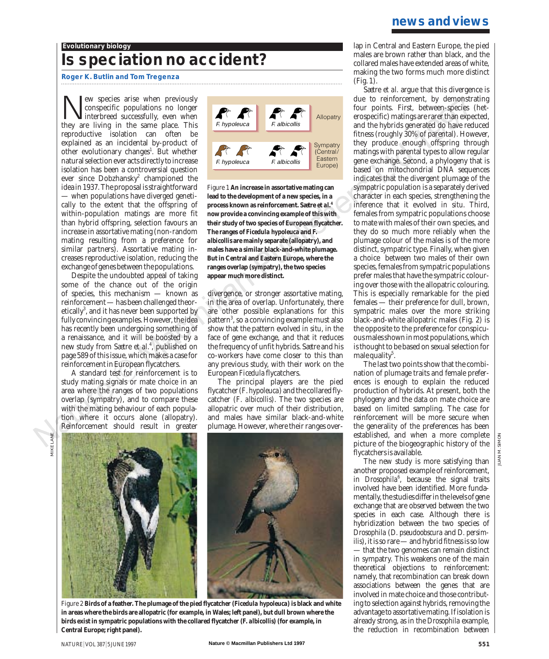#### **Evolutionary biology**

# **Is speciation no accident?**

### **Roger K. Butlin and Tom Tregenza**

We species arise when previously<br>
interbreed successfully, even when<br>
they are living in the same place This conspecific populations no longer they are living in the same place. This reproductive isolation can often be explained as an incidental by-product of other evolutionary changes<sup>1</sup>. But whether natural selection ever acts directly to increase isolation has been a controversial question ever since Dobzhansky<sup>2</sup> championed the idea in 1937. The proposal is straightforward — when populations have diverged genetically to the extent that the offspring of within-population matings are more fit than hybrid offspring, selection favours an increase in assortative mating (non-random mating resulting from a preference for similar partners). Assortative mating increases reproductive isolation, reducing the exchange of genes between the populations.

Despite the undoubted appeal of taking some of the chance out of the origin of species, this mechanism — known as reinforcement — has been challenged theoretically<sup>3</sup>, and it has never been supported by fully convincing examples. However, the idea has recently been undergoing something of a renaissance, and it will be boosted by a new study from Sætre *et al.*<sup>4</sup> , published on page 589 of this issue, which makes a case for reinforcement in European flycatchers.

A standard test for reinforcement is to study mating signals or mate choice in an area where the ranges of two populations overlap (sympatry), and to compare these with the mating behaviour of each population where it occurs alone (allopatry). Reinforcement should result in greater



Figure 1 **An increase in assortative mating can lead to the development of a new species, in a process known as reinforcement. Sætre** *et al.***<sup>4</sup> now provide a convincing example of this with their study of two species of European flycatcher. The ranges of** *Ficedula hypoleuca* **and** *F. albicollis* **are mainly separate (allopatry), and males have a similar black-and-white plumage. But in Central and Eastern Europe, where the ranges overlap (sympatry), the two species appear much more distinct.**

divergence, or stronger assortative mating, in the area of overlap. Unfortunately, there are other possible explanations for this pattern<sup>3</sup>, so a convincing example must also show that the pattern evolved *in situ*, in the face of gene exchange, and that it reduces the frequency of unfit hybrids. Sætre and his co-workers have come closer to this than any previous study, with their work on the European *Ficedula* flycatchers.

The principal players are the pied flycatcher (*F*. *hypoleuca*) and the collared flycatcher (*F*. *albicollis*). The two species are allopatric over much of their distribution, and males have similar black-and-white plumage. However, where their ranges over-



Figure 2 **Birds of a feather. The plumage of the pied flycatcher (***Ficedula hypoleuca***) is black and white in areas where the birds are allopatric (for example, in Wales; left panel), but dull brown where the birds exist in sympatric populations with the collared flycatcher (***F. albicollis***) (for example, in Central Europe; right panel).**

lap in Central and Eastern Europe, the pied males are brown rather than black, and the collared males have extended areas of white, making the two forms much more distinct (Fig. 1).

Sætre *et al*. argue that this divergence is due to reinforcement, by demonstrating four points. First, between-species (heterospecific) matings are rarer than expected, and the hybrids generated do have reduced fitness (roughly 30% of parental). However, they produce enough offspring through matings with parental types to allow regular gene exchange. Second, a phylogeny that is based on mitochondrial DNA sequences indicates that the divergent plumage of the sympatric population is a separately derived character in each species, strengthening the inference that it evolved *in situ*. Third, females from sympatric populations choose to mate with males of their own species, and they do so much more reliably when the plumage colour of the males is of the more distinct, sympatric type. Finally, when given a choice between two males of their own species, females from sympatric populations prefer males that have the sympatric colouring over those with the allopatric colouring. This is especially remarkable for the pied females — their preference for dull, brown, sympatric males over the more striking black-and-white allopatric males (Fig. 2) is the opposite to the preference for conspicuous males shown in most populations, which is thought to be based on sexual selection for male quality $5$ .

The last two points show that the combination of plumage traits and female preferences is enough to explain the reduced production of hybrids. At present, both the phylogeny and the data on mate choice are based on limited sampling. The case for reinforcement will be more secure when the generality of the preferences has been established, and when a more complete picture of the biogeographic history of the flycatchers is available.

The new study is more satisfying than another proposed example of reinforcement, in *Drosophila*<sup>6</sup>, because the signal traits involved have been identified. More fundamentally, the studies differ in the levels of gene exchange that are observed between the two species in each case. Although there is hybridization between the two species of *Drosophila* (*D. pseudoobscura* and *D. persimilis*), it is so rare — and hybrid fitness is so low — that the two genomes can remain distinct in sympatry. This weakens one of the main theoretical objections to reinforcement: namely, that recombination can break down associations between the genes that are involved in mate choice and those contributing to selection against hybrids, removing the advantage to assortative mating. If isolation is already strong, as in the *Drosophila* example, the reduction in recombination between

MIKE LANE MIKE LANE

JUAN M. SIMON